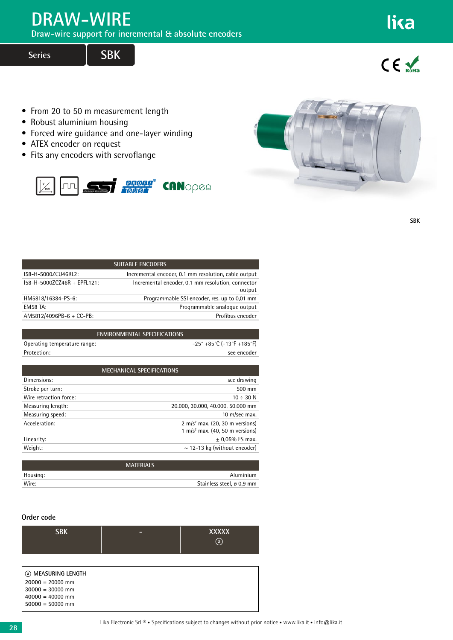## **DRAW-WIRE**

**Draw-wire support for incremental & absolute encoders**

**Series SBK**

 $C \in \mathcal{N}_{\text{max}}$ 

lika

- From 20 to 50 m measurement length
- Robust aluminium housing
- Forced wire guidance and one-layer winding
- ATEX encoder on request
- Fits any encoders with servoflange





**SBK**

| <b>SUITABLE ENCODERS</b>    |                                                             |  |
|-----------------------------|-------------------------------------------------------------|--|
| I58-H-5000ZCU46RL2:         | Incremental encoder, 0.1 mm resolution, cable output        |  |
| 158-H-5000ZCZ46R + EPFL121: | Incremental encoder, 0.1 mm resolution, connector<br>output |  |
| HM5818/16384-PS-6:          | Programmable SSI encoder, res. up to 0,01 mm                |  |
| <b>EM58 TA:</b>             | Programmable analogue output                                |  |
| $AM5812/4096PB-6 + CC-PB$ : | Profibus encoder                                            |  |
|                             |                                                             |  |

| <b>ENVIRONMENTAL SPECIFICATIONS</b> |                                        |
|-------------------------------------|----------------------------------------|
| Operating temperature range:        | $-25^\circ +85^\circ C$ (-13°F +185°F) |
| Protection:                         | see encoder                            |
|                                     |                                        |

| <b>MECHANICAL SPECIFICATIONS</b> |                                                                                            |  |
|----------------------------------|--------------------------------------------------------------------------------------------|--|
| Dimensions:                      | see drawing                                                                                |  |
| Stroke per turn:                 | 500 mm                                                                                     |  |
| Wire retraction force:           | $10 \div 30$ N                                                                             |  |
| Measuring length:                | 20.000, 30.000, 40.000, 50.000 mm                                                          |  |
| Measuring speed:                 | 10 m/sec max.                                                                              |  |
| Acceleration:                    | 2 m/s <sup>2</sup> max. (20, 30 m versions)<br>1 m/s <sup>2</sup> max. (40, 50 m versions) |  |
| Linearity:                       | $± 0.05%$ FS max.                                                                          |  |
| Weight:                          | $\sim$ 12-13 kg (without encoder)                                                          |  |
|                                  |                                                                                            |  |
|                                  | <b>MATERIALS</b>                                                                           |  |

|          | <b>MATERIALS</b>          |
|----------|---------------------------|
| Housing: | Aluminium                 |
| Wire:    | Stainless steel, ø 0,9 mm |
|          |                           |

## **Order code**

| <b>SBK</b>                                                                                                 | _ | <b>XXXXX</b><br>$\binom{a}{b}$ |
|------------------------------------------------------------------------------------------------------------|---|--------------------------------|
| 4 MEASURING LENGTH<br>$20000 = 20000$ mm<br>$30000 = 30000$ mm<br>$40000 = 40000$ mm<br>$50000 = 50000$ mm |   |                                |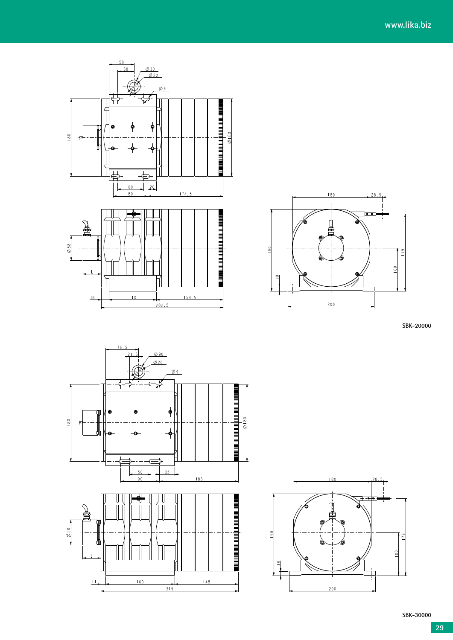



**SBK-20000**